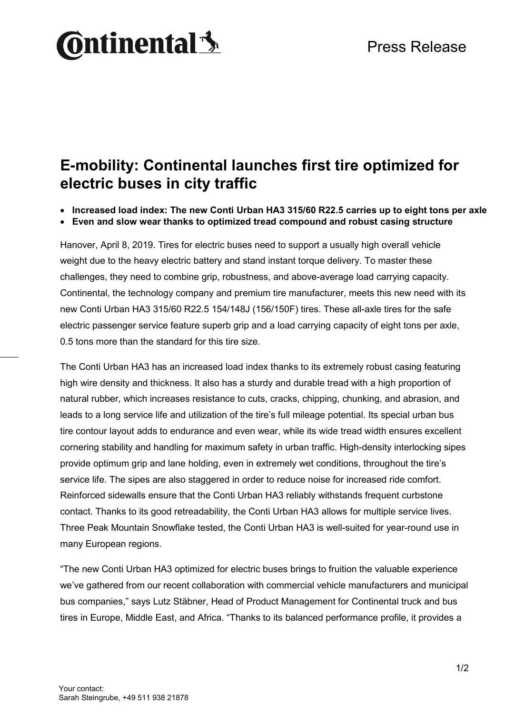# **Ontinental 3**

### **E-mobility: Continental launches first tire optimized for electric buses in city traffic**

• **Increased load index: The new Conti Urban HA3 315/60 R22.5 carries up to eight tons per axle**

• **Even and slow wear thanks to optimized tread compound and robust casing structure**

Hanover, April 8, 2019. Tires for electric buses need to support a usually high overall vehicle weight due to the heavy electric battery and stand instant torque delivery. To master these challenges, they need to combine grip, robustness, and above-average load carrying capacity. Continental, the technology company and premium tire manufacturer, meets this new need with its new Conti Urban HA3 315/60 R22.5 154/148J (156/150F) tires. These all-axle tires for the safe electric passenger service feature superb grip and a load carrying capacity of eight tons per axle, 0.5 tons more than the standard for this tire size.

The Conti Urban HA3 has an increased load index thanks to its extremely robust casing featuring high wire density and thickness. It also has a sturdy and durable tread with a high proportion of natural rubber, which increases resistance to cuts, cracks, chipping, chunking, and abrasion, and leads to a long service life and utilization of the tire's full mileage potential. Its special urban bus tire contour layout adds to endurance and even wear, while its wide tread width ensures excellent cornering stability and handling for maximum safety in urban traffic. High-density interlocking sipes provide optimum grip and lane holding, even in extremely wet conditions, throughout the tire's service life. The sipes are also staggered in order to reduce noise for increased ride comfort. Reinforced sidewalls ensure that the Conti Urban HA3 reliably withstands frequent curbstone contact. Thanks to its good retreadability, the Conti Urban HA3 allows for multiple service lives. Three Peak Mountain Snowflake tested, the Conti Urban HA3 is well-suited for year-round use in many European regions.

"The new Conti Urban HA3 optimized for electric buses brings to fruition the valuable experience we've gathered from our recent collaboration with commercial vehicle manufacturers and municipal bus companies," says Lutz Stäbner, Head of Product Management for Continental truck and bus tires in Europe, Middle East, and Africa. "Thanks to its balanced performance profile, it provides a